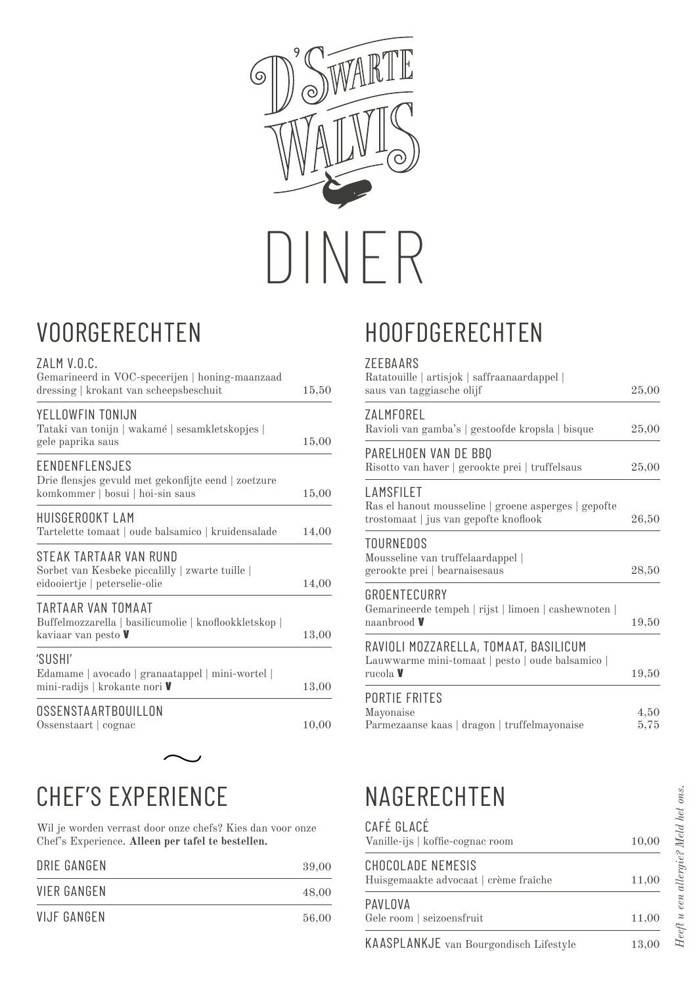

### VOORGERECHTEN

| UUINULINLUII I LIN                                                                                         |       |
|------------------------------------------------------------------------------------------------------------|-------|
| ZALM V.O.C.<br>Gemarineerd in VOC-specerijen   honing-maanzaad<br>dressing   krokant van scheepsbeschuit   | 15,50 |
| YELLOWFIN TONIJN<br>Tataki van tonijn   wakamé   sesamkletskopjes  <br>gele paprika saus                   | 15,00 |
| EENDENFLENSJES<br>Drie flensjes gevuld met gekonfijte eend   zoetzure<br>komkommer   bosui   hoi-sin saus  | 15,00 |
| HUISGEROOKT LAM<br>Tartelette tomaat   oude balsamico   kruidensalade                                      | 14,00 |
| STEAK TARTAAR VAN RUND<br>Sorbet van Kesbeke piccalilly   zwarte tuille  <br>eidooiertje   peterselie-olie | 14,00 |
| TARTAAR VAN TOMAAT<br>Buffelmozzarella   basilicumolie   knoflookkletskop  <br>kaviaar van pesto V         | 13,00 |
| 'SUSHI'<br>Edamame   avocado   granaatappel   mini-wortel  <br>mini-radijs   krokante nori V               | 13,00 |
| OSSENSTAARTBOUILLON<br>Ossenstaart   cognac                                                                | 10,00 |
|                                                                                                            |       |

# CHEF'S EXPERIENCE

Wil je worden verrast door onze chefs? Kies dan voor onze Chef's Experience. **Alleen per tafel te bestellen.**

| <b>DRIE GANGEN</b> | 39,00 |
|--------------------|-------|
| <b>VIER GANGEN</b> | 48,00 |
| <b>VIJF GANGEN</b> | 56,00 |

# HOOFDGERECHTEN

#### ZEEBAARS

| Ratatouille   artisjok   saffraanaardappel  <br>saus van taggiasche olijf                                  | 25,00        |
|------------------------------------------------------------------------------------------------------------|--------------|
| ZALMFOREL<br>Ravioli van gamba's   gestoofde kropsla   bisque                                              | 25,00        |
| PARELHOEN VAN DE BBO<br>Risotto van haver   gerookte prei   truffelsaus                                    | 25,00        |
| LAMSFILET<br>Ras el hanout mousseline   groene asperges   gepofte<br>trostomaat   jus van gepofte knoflook | 26,50        |
| TOURNEDOS<br>Mousseline van truffelaardappel  <br>gerookte prei   bearnaisesaus                            | 28,50        |
| GROENTECURRY<br>Gemarineerde tempeh   rijst   limoen   cashewnoten  <br>naanbrood <b>V</b>                 | 19,50        |
| RAVIOLI MOZZARELLA, TOMAAT, BASILICUM<br>Lauwwarme mini-tomaat   pesto   oude balsamico  <br>rucola V      | 19,50        |
| <b>PORTIE FRITES</b><br>Mayonaise<br>Parmezaanse kaas   dragon   truffelmayonaise                          | 4,50<br>5,75 |

## NAGERECHTEN

| CAFÉ GLACÉ<br>Vanille-ijs   koffie-cognac room             | 10,00 |
|------------------------------------------------------------|-------|
| CHOCOLADE NEMESIS<br>Huisgemaakte advocaat   crème fraîche | 11,00 |
| PAVLOVA<br>Gele room   seizoensfruit                       | 11,00 |

KAASPLANKJE van Bourgondisch Lifestyle 13,00